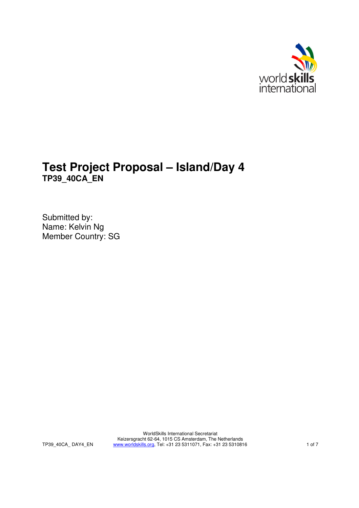

# **Test Project Proposal – Island/Day 4 TP39\_40CA\_EN**

Submitted by: Name: Kelvin Ng Member Country: SG

> WorldSkills International Secretariat Keizersgracht 62-64, 1015 CS Amsterdam, The Netherlands www.worldskills.org, Tel: +31 23 5311071, Fax: +31 23 5310816 1 of 7

TP39\_40CA\_ DAY4\_EN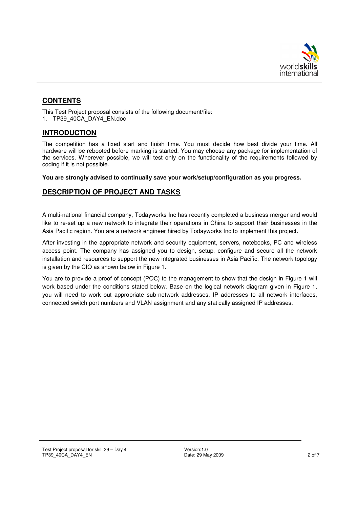

# **CONTENTS**

This Test Project proposal consists of the following document/file: 1. TP39\_40CA\_DAY4\_EN.doc

## **INTRODUCTION**

The competition has a fixed start and finish time. You must decide how best divide your time. All hardware will be rebooted before marking is started. You may choose any package for implementation of the services. Wherever possible, we will test only on the functionality of the requirements followed by coding if it is not possible.

**You are strongly advised to continually save your work/setup/configuration as you progress.**

## **DESCRIPTION OF PROJECT AND TASKS**

A multi-national financial company, Todayworks Inc has recently completed a business merger and would like to re-set up a new network to integrate their operations in China to support their businesses in the Asia Pacific region. You are a network engineer hired by Todayworks Inc to implement this project.

After investing in the appropriate network and security equipment, servers, notebooks, PC and wireless access point. The company has assigned you to design, setup, configure and secure all the network installation and resources to support the new integrated businesses in Asia Pacific. The network topology is given by the CIO as shown below in Figure 1.

You are to provide a proof of concept (POC) to the management to show that the design in Figure 1 will work based under the conditions stated below. Base on the logical network diagram given in Figure 1, you will need to work out appropriate sub-network addresses, IP addresses to all network interfaces, connected switch port numbers and VLAN assignment and any statically assigned IP addresses.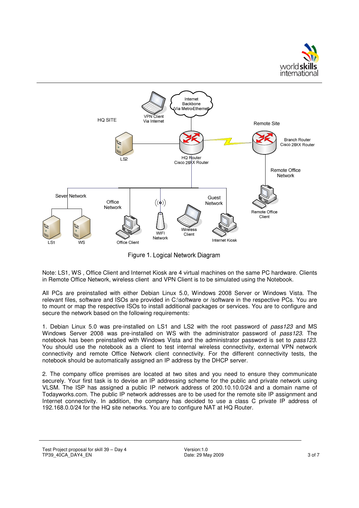



Figure 1. Logical Network Diagram

Note: LS1, WS , Office Client and Internet Kiosk are 4 virtual machines on the same PC hardware. Clients in Remote Office Network, wireless client and VPN Client is to be simulated using the Notebook.

All PCs are preinstalled with either Debian Linux 5.0, Windows 2008 Server or Windows Vista. The relevant files, software and ISOs are provided in C:\software or /software in the respective PCs. You are to mount or map the respective ISOs to install additional packages or services. You are to configure and secure the network based on the following requirements:

1. Debian Linux 5.0 was pre-installed on LS1 and LS2 with the root password of *pass123* and MS Windows Server 2008 was pre-installed on WS with the administrator password of *pass123*. The notebook has been preinstalled with Windows Vista and the administrator password is set to *pass123*. You should use the notebook as a client to test internal wireless connectivity, external VPN network connectivity and remote Office Network client connectivity. For the different connectivity tests, the notebook should be automatically assigned an IP address by the DHCP server.

2. The company office premises are located at two sites and you need to ensure they communicate securely. Your first task is to devise an IP addressing scheme for the public and private network using VLSM. The ISP has assigned a public IP network address of 200.10.10.0/24 and a domain name of Todayworks.com. The public IP network addresses are to be used for the remote site IP assignment and Internet connectivity. In addition, the company has decided to use a class C private IP address of 192.168.0.0/24 for the HQ site networks. You are to configure NAT at HQ Router.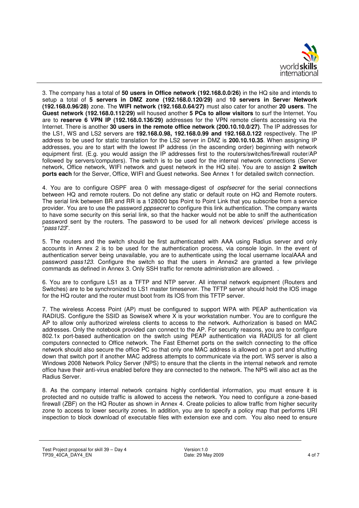

3. The company has a total of **50 users in Office network (192.168.0.0/26)** in the HQ site and intends to setup a total of **5 servers in DMZ zone (192.168.0.120/29)** and **10 servers in Serve**r **Network (192.168.0.96/28)** zone. The **WIFI network (192.168.0.64/27)** must also cater for another **20 users**. The **Guest network (192.168.0.112/29)** will housed another **5 PCs to allow visitors** to surf the Internet. You are to **reserve 6 VPN IP (192.168.0.136/29)** addresses for the VPN remote clients accessing via the Internet. There is another **30 users in the remote office network (200.10.10.0/27)**. The IP addresses for the LS1, WS and LS2 servers are **192.168.0.98, 192.168.0.99 and 192.168.0.122** respectively. The IP address to be used for static translation for the LS2 server in DMZ is **200.10.10.35**. When assigning IP addresses, you are to start with the lowest IP address (in the ascending order) beginning with network equipment first. (E.g. you would assign the IP addresses first to the routers/switches/firewall router/AP followed by servers/computers). The switch is to be used for the internal network connections (Server network, Office network, WIFI network and guest network in the HQ site). You are to assign **2 switch ports each** for the Server, Office, WIFI and Guest networks. See Annex 1 for detailed switch connection.

4. You are to configure OSPF area 0 with message-digest of *ospfsecret* for the serial connections between HQ and remote routers. Do not define any static or default route on HQ and Remote routers. The serial link between BR and RR is a 128000 bps Point to Point Link that you subscribe from a service provider. You are to use the password *pppsecret* to configure this link authentication. The company wants to have some security on this serial link, so that the hacker would not be able to sniff the authentication password sent by the routers. The password to be used for all network devices' privilege access is "*pass123*".

5. The routers and the switch should be first authenticated with AAA using Radius server and only accounts in Annex 2 is to be used for the authentication process, via console login. In the event of authentication server being unavailable, you are to authenticate using the local username localAAA and password *pass123*. Configure the switch so that the users in Annex2 are granted a few privilege commands as defined in Annex 3. Only SSH traffic for remote administration are allowed. .

6. You are to configure LS1 as a TFTP and NTP server. All internal network equipment (Routers and Switches) are to be synchronized to LS1 master timeserver. The TFTP server should hold the IOS image for the HQ router and the router must boot from its IOS from this TFTP server.

7. The wireless Access Point (AP) must be configured to support WPA with PEAP authentication via RADIUS. Configure the SSID as SowiseX where X is your workstation number. You are to configure the AP to allow only authorized wireless clients to access to the network. Authorization is based on MAC addresses. Only the notebook provided can connect to the AP. For security reasons, you are to configure 802.1x port-based authentication on the switch using PEAP authentication via RADIUS for all client computers connected to Office network. The Fast Ethernet ports on the switch connecting to the office network should also secure the office PC so that only one MAC address is allowed on a port and shutting down that switch port if another MAC address attempts to communicate via the port. WS server is also a Windows 2008 Network Policy Server (NPS) to ensure that the clients in the internal network and remote office have their anti-virus enabled before they are connected to the network. The NPS will also act as the Radius Server.

8. As the company internal network contains highly confidential information, you must ensure it is protected and no outside traffic is allowed to access the network. You need to configure a zone-based firewall (ZBF) on the HQ Router as shown in Annex 4. Create policies to allow traffic from higher security zone to access to lower security zones. In addition, you are to specify a policy map that performs URI inspection to block download of executable files with extension exe and com. You also need to ensure

Test Project proposal for skill 39 – Day 4 TP39\_40CA\_DAY4\_EN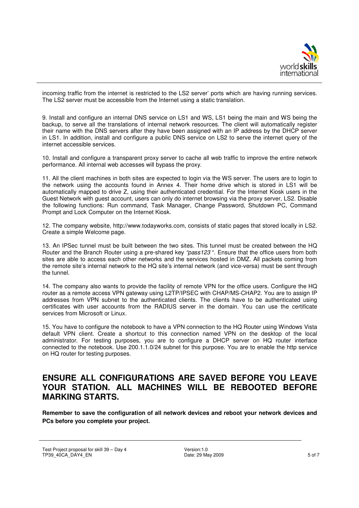

incoming traffic from the internet is restricted to the LS2 server' ports which are having running services. The LS2 server must be accessible from the Internet using a static translation.

9. Install and configure an internal DNS service on LS1 and WS, LS1 being the main and WS being the backup, to serve all the translations of internal network resources. The client will automatically register their name with the DNS servers after they have been assigned with an IP address by the DHCP server in LS1. In addition, install and configure a public DNS service on LS2 to serve the internet query of the internet accessible services.

10. Install and configure a transparent proxy server to cache all web traffic to improve the entire network performance. All internal web accesses will bypass the proxy.

11. All the client machines in both sites are expected to login via the WS server. The users are to login to the network using the accounts found in Annex 4. Their home drive which is stored in LS1 will be automatically mapped to drive Z, using their authenticated credential. For the Internet Kiosk users in the Guest Network with guest account, users can only do internet browsing via the proxy server, LS2. Disable the following functions: Run command, Task Manager, Change Password, Shutdown PC, Command Prompt and Lock Computer on the Internet Kiosk.

12. The company website, http://www.todayworks.com, consists of static pages that stored locally in LS2. Create a simple Welcome page.

13. An IPSec tunnel must be built between the two sites. This tunnel must be created between the HQ Router and the Branch Router using a pre-shared key *"pass123* ". Ensure that the office users from both sites are able to access each other networks and the services hosted in DMZ. All packets coming from the remote site's internal network to the HQ site's internal network (and vice-versa) must be sent through the tunnel.

14. The company also wants to provide the facility of remote VPN for the office users. Configure the HQ router as a remote access VPN gateway using L2TP/IPSEC with CHAP/MS-CHAP2. You are to assign IP addresses from VPN subnet to the authenticated clients. The clients have to be authenticated using certificates with user accounts from the RADIUS server in the domain. You can use the certificate services from Microsoft or Linux.

15. You have to configure the notebook to have a VPN connection to the HQ Router using Windows Vista default VPN client. Create a shortcut to this connection named VPN on the desktop of the local administrator. For testing purposes, you are to configure a DHCP server on HQ router interface connected to the notebook. Use 200.1.1.0/24 subnet for this purpose. You are to enable the http service on HQ router for testing purposes.

# **ENSURE ALL CONFIGURATIONS ARE SAVED BEFORE YOU LEAVE YOUR STATION. ALL MACHINES WILL BE REBOOTED BEFORE MARKING STARTS.**

**Remember to save the configuration of all network devices and reboot your network devices and PCs before you complete your project.**

Test Project proposal for skill 39 – Day 4 TP39\_40CA\_DAY4\_EN

Version:1.0 Date: 29 May 2009 5 of 7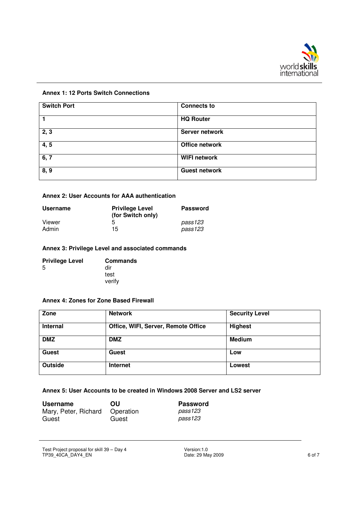

#### **Annex 1: 12 Ports Switch Connections**

| <b>Switch Port</b> | <b>Connects to</b>    |
|--------------------|-----------------------|
|                    | <b>HQ Router</b>      |
| 2, 3               | <b>Server network</b> |
| 4, 5               | Office network        |
| 6, 7               | <b>WIFI network</b>   |
| 8, 9               | <b>Guest network</b>  |

#### **Annex 2: User Accounts for AAA authentication**

| <b>Username</b> | <b>Privilege Level</b><br>(for Switch only) | <b>Password</b> |
|-----------------|---------------------------------------------|-----------------|
| Viewer          | 5                                           | pass123         |
| Admin           | 15                                          | pass123         |

#### **Annex 3: Privilege Level and associated commands**

| <b>Privilege Level</b> | <b>Commands</b> |
|------------------------|-----------------|
| -5                     | dir             |
|                        | test            |
|                        | verify          |

#### **Annex 4: Zones for Zone Based Firewall**

| Zone            | <b>Network</b>                      | <b>Security Level</b> |
|-----------------|-------------------------------------|-----------------------|
| <b>Internal</b> | Office, WIFI, Server, Remote Office | <b>Highest</b>        |
| <b>DMZ</b>      | <b>DMZ</b>                          | <b>Medium</b>         |
| Guest           | <b>Guest</b>                        | Low                   |
| <b>Outside</b>  | <b>Internet</b>                     | Lowest                |

#### **Annex 5: User Accounts to be created in Windows 2008 Server and LS2 server**

| <b>Username</b>                | OU    | <b>Password</b> |
|--------------------------------|-------|-----------------|
| Mary, Peter, Richard Operation |       | pass123         |
| Guest                          | Guest | pass123         |

Test Project proposal for skill 39 – Day 4 TP39\_40CA\_DAY4\_EN

Version:1.0 Date: 29 May 2009 6 of 7